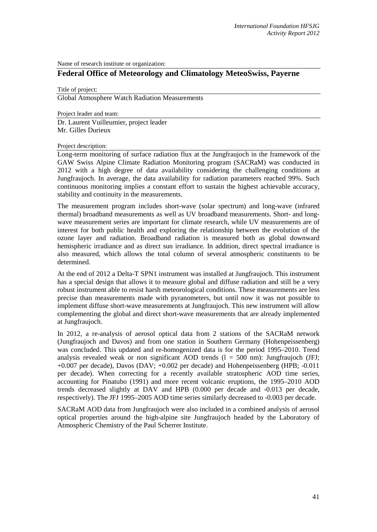Name of research institute or organization:

# **Federal Office of Meteorology and Climatology MeteoSwiss, Payerne**

Title of project:

Global Atmosphere Watch Radiation Measurements

Project leader and team:

Dr. Laurent Vuilleumier, project leader Mr. Gilles Durieux

Project description:

Long-term monitoring of surface radiation flux at the Jungfraujoch in the framework of the GAW Swiss Alpine Climate Radiation Monitoring program (SACRaM) was conducted in 2012 with a high degree of data availability considering the challenging conditions at Jungfraujoch. In average, the data availability for radiation parameters reached 99%. Such continuous monitoring implies a constant effort to sustain the highest achievable accuracy, stability and continuity in the measurements.

The measurement program includes short-wave (solar spectrum) and long-wave (infrared thermal) broadband measurements as well as UV broadband measurements. Short- and longwave measurement series are important for climate research, while UV measurements are of interest for both public health and exploring the relationship between the evolution of the ozone layer and radiation. Broadband radiation is measured both as global downward hemispheric irradiance and as direct sun irradiance. In addition, direct spectral irradiance is also measured, which allows the total column of several atmospheric constituents to be determined.

At the end of 2012 a Delta-T SPN1 instrument was installed at Jungfraujoch. This instrument has a special design that allows it to measure global and diffuse radiation and still be a very robust instrument able to resist harsh meteorological conditions. These measurements are less precise than measurements made with pyranometers, but until now it was not possible to implement diffuse short-wave measurements at Jungfraujoch. This new instrument will allow complementing the global and direct short-wave measurements that are already implemented at Jungfraujoch.

In 2012, a re-analysis of aerosol optical data from 2 stations of the SACRaM network (Jungfraujoch and Davos) and from one station in Southern Germany (Hohenpeissenberg) was concluded. This updated and re-homogenized data is for the period 1995–2010. Trend analysis revealed weak or non significant AOD trends  $(1 = 500 \text{ nm})$ : Jungfraujoch (JFJ; +0.007 per decade), Davos (DAV; +0.002 per decade) and Hohenpeissenberg (HPB; -0.011 per decade). When correcting for a recently available stratospheric AOD time series, accounting for Pinatubo (1991) and more recent volcanic eruptions, the 1995–2010 AOD trends decreased slightly at DAV and HPB (0.000 per decade and -0.013 per decade, respectively). The JFJ 1995–2005 AOD time series similarly decreased to -0.003 per decade.

SACRaM AOD data from Jungfraujoch were also included in a combined analysis of aerosol optical properties around the high-alpine site Jungfraujoch headed by the Laboratory of Atmospheric Chemistry of the Paul Scherrer Institute.